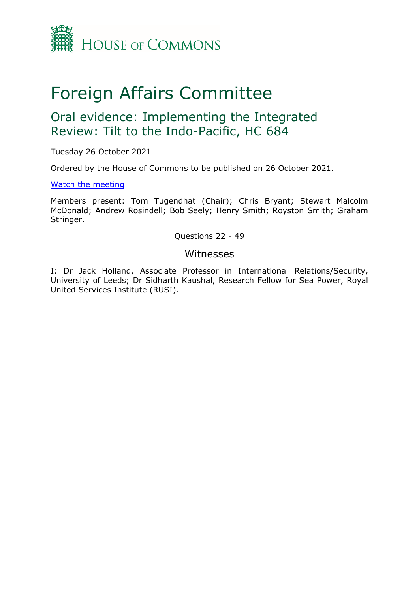

# Foreign Affairs Committee

## Oral evidence: Implementing the Integrated Review: Tilt to the Indo-Pacific, HC 684

Tuesday 26 October 2021

Ordered by the House of Commons to be published on 26 October 2021.

#### [Watch](https://parliamentlive.tv/event/index/6c5103b5-29d4-49e8-a4c9-2ac288857971) [the](https://parliamentlive.tv/event/index/6c5103b5-29d4-49e8-a4c9-2ac288857971) [meeting](https://parliamentlive.tv/event/index/6c5103b5-29d4-49e8-a4c9-2ac288857971)

Members present: Tom Tugendhat (Chair); Chris Bryant; Stewart Malcolm McDonald; Andrew Rosindell; Bob Seely; Henry Smith; Royston Smith; Graham Stringer.

Questions 22 - 49

#### Witnesses

I: Dr Jack Holland, Associate Professor in International Relations/Security, University of Leeds; Dr Sidharth Kaushal, Research Fellow for Sea Power, Royal United Services Institute (RUSI).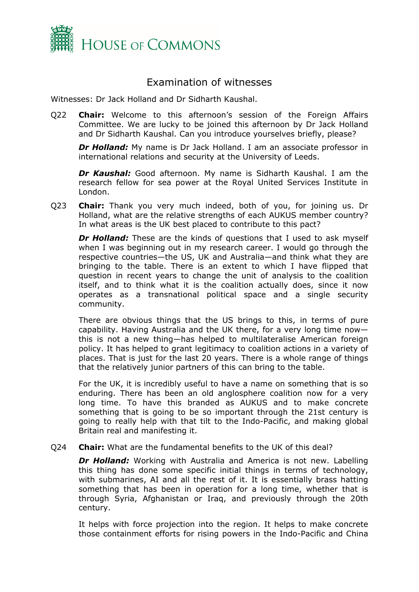

### Examination of witnesses

Witnesses: Dr Jack Holland and Dr Sidharth Kaushal.

Q22 **Chair:** Welcome to this afternoon's session of the Foreign Affairs Committee. We are lucky to be joined this afternoon by Dr Jack Holland and Dr Sidharth Kaushal. Can you introduce yourselves briefly, please?

*Dr Holland:* My name is Dr Jack Holland. I am an associate professor in international relations and security at the University of Leeds.

*Dr Kaushal:* Good afternoon. My name is Sidharth Kaushal. I am the research fellow for sea power at the Royal United Services Institute in London.

Q23 **Chair:** Thank you very much indeed, both of you, for joining us. Dr Holland, what are the relative strengths of each AUKUS member country? In what areas is the UK best placed to contribute to this pact?

*Dr Holland:* These are the kinds of questions that I used to ask myself when I was beginning out in my research career. I would go through the respective countries—the US, UK and Australia—and think what they are bringing to the table. There is an extent to which I have flipped that question in recent years to change the unit of analysis to the coalition itself, and to think what it is the coalition actually does, since it now operates as a transnational political space and a single security community.

There are obvious things that the US brings to this, in terms of pure capability. Having Australia and the UK there, for a very long time now this is not a new thing—has helped to multilateralise American foreign policy. It has helped to grant legitimacy to coalition actions in a variety of places. That is just for the last 20 years. There is a whole range of things that the relatively junior partners of this can bring to the table.

For the UK, it is incredibly useful to have a name on something that is so enduring. There has been an old anglosphere coalition now for a very long time. To have this branded as AUKUS and to make concrete something that is going to be so important through the 21st century is going to really help with that tilt to the Indo-Pacific, and making global Britain real and manifesting it.

Q24 **Chair:** What are the fundamental benefits to the UK of this deal?

*Dr Holland:* Working with Australia and America is not new. Labelling this thing has done some specific initial things in terms of technology, with submarines, AI and all the rest of it. It is essentially brass hatting something that has been in operation for a long time, whether that is through Syria, Afghanistan or Iraq, and previously through the 20th century.

It helps with force projection into the region. It helps to make concrete those containment efforts for rising powers in the Indo-Pacific and China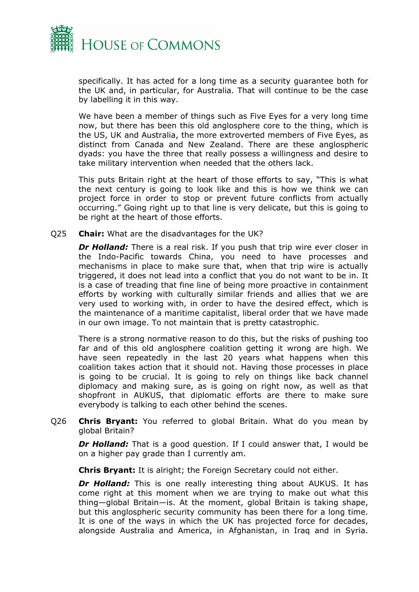

specifically. It has acted for a long time as a security guarantee both for the UK and, in particular, for Australia. That will continue to be the case by labelling it in this way.

We have been a member of things such as Five Eyes for a very long time now, but there has been this old anglosphere core to the thing, which is the US, UK and Australia, the more extroverted members of Five Eyes, as distinct from Canada and New Zealand. There are these anglospheric dyads: you have the three that really possess a willingness and desire to take military intervention when needed that the others lack.

This puts Britain right at the heart of those efforts to say, "This is what the next century is going to look like and this is how we think we can project force in order to stop or prevent future conflicts from actually occurring." Going right up to that line is very delicate, but this is going to be right at the heart of those efforts.

Q25 **Chair:** What are the disadvantages for the UK?

**Dr Holland:** There is a real risk. If you push that trip wire ever closer in the Indo-Pacific towards China, you need to have processes and mechanisms in place to make sure that, when that trip wire is actually triggered, it does not lead into a conflict that you do not want to be in. It is a case of treading that fine line of being more proactive in containment efforts by working with culturally similar friends and allies that we are very used to working with, in order to have the desired effect, which is the maintenance of a maritime capitalist, liberal order that we have made in our own image. To not maintain that is pretty catastrophic.

There is a strong normative reason to do this, but the risks of pushing too far and of this old anglosphere coalition getting it wrong are high. We have seen repeatedly in the last 20 years what happens when this coalition takes action that it should not. Having those processes in place is going to be crucial. It is going to rely on things like back channel diplomacy and making sure, as is going on right now, as well as that shopfront in AUKUS, that diplomatic efforts are there to make sure everybody is talking to each other behind the scenes.

Q26 **Chris Bryant:** You referred to global Britain. What do you mean by global Britain?

**Dr Holland:** That is a good question. If I could answer that, I would be on a higher pay grade than I currently am.

**Chris Bryant:** It is alright; the Foreign Secretary could not either.

*Dr Holland:* This is one really interesting thing about AUKUS. It has come right at this moment when we are trying to make out what this thing—global Britain—is. At the moment, global Britain is taking shape, but this anglospheric security community has been there for a long time. It is one of the ways in which the UK has projected force for decades, alongside Australia and America, in Afghanistan, in Iraq and in Syria.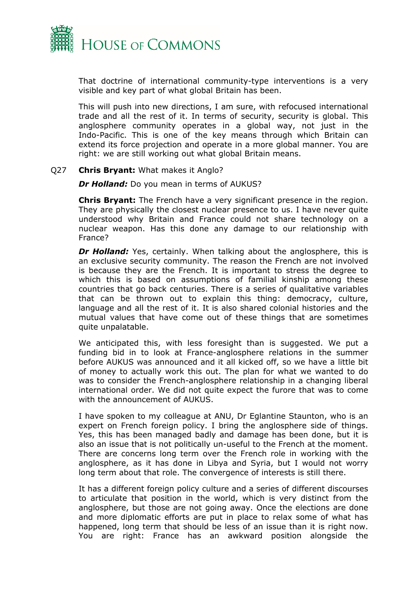

That doctrine of international community-type interventions is a very visible and key part of what global Britain has been.

This will push into new directions, I am sure, with refocused international trade and all the rest of it. In terms of security, security is global. This anglosphere community operates in a global way, not just in the Indo-Pacific. This is one of the key means through which Britain can extend its force projection and operate in a more global manner. You are right: we are still working out what global Britain means.

#### Q27 **Chris Bryant:** What makes it Anglo?

*Dr Holland:* Do you mean in terms of AUKUS?

**Chris Bryant:** The French have a very significant presence in the region. They are physically the closest nuclear presence to us. I have never quite understood why Britain and France could not share technology on a nuclear weapon. Has this done any damage to our relationship with France?

**Dr Holland:** Yes, certainly. When talking about the anglosphere, this is an exclusive security community. The reason the French are not involved is because they are the French. It is important to stress the degree to which this is based on assumptions of familial kinship among these countries that go back centuries. There is a series of qualitative variables that can be thrown out to explain this thing: democracy, culture, language and all the rest of it. It is also shared colonial histories and the mutual values that have come out of these things that are sometimes quite unpalatable.

We anticipated this, with less foresight than is suggested. We put a funding bid in to look at France-anglosphere relations in the summer before AUKUS was announced and it all kicked off, so we have a little bit of money to actually work this out. The plan for what we wanted to do was to consider the French-anglosphere relationship in a changing liberal international order. We did not quite expect the furore that was to come with the announcement of AUKUS.

I have spoken to my colleague at ANU, Dr Eglantine Staunton, who is an expert on French foreign policy. I bring the anglosphere side of things. Yes, this has been managed badly and damage has been done, but it is also an issue that is not politically un-useful to the French at the moment. There are concerns long term over the French role in working with the anglosphere, as it has done in Libya and Syria, but I would not worry long term about that role. The convergence of interests is still there.

It has a different foreign policy culture and a series of different discourses to articulate that position in the world, which is very distinct from the anglosphere, but those are not going away. Once the elections are done and more diplomatic efforts are put in place to relax some of what has happened, long term that should be less of an issue than it is right now. You are right: France has an awkward position alongside the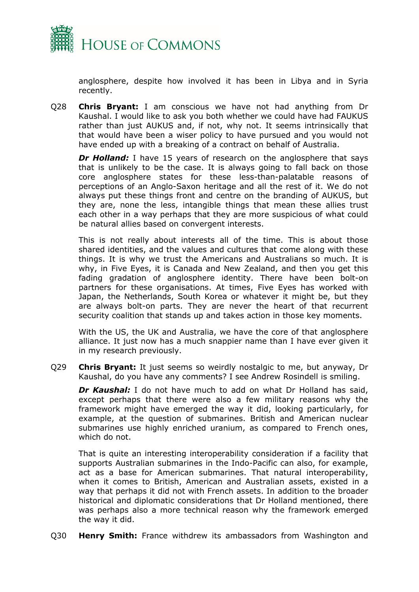

anglosphere, despite how involved it has been in Libya and in Syria recently.

Q28 **Chris Bryant:** I am conscious we have not had anything from Dr Kaushal. I would like to ask you both whether we could have had FAUKUS rather than just AUKUS and, if not, why not. It seems intrinsically that that would have been a wiser policy to have pursued and you would not have ended up with a breaking of a contract on behalf of Australia.

**Dr Holland:** I have 15 years of research on the anglosphere that says that is unlikely to be the case. It is always going to fall back on those core anglosphere states for these less-than-palatable reasons of perceptions of an Anglo-Saxon heritage and all the rest of it. We do not always put these things front and centre on the branding of AUKUS, but they are, none the less, intangible things that mean these allies trust each other in a way perhaps that they are more suspicious of what could be natural allies based on convergent interests.

This is not really about interests all of the time. This is about those shared identities, and the values and cultures that come along with these things. It is why we trust the Americans and Australians so much. It is why, in Five Eyes, it is Canada and New Zealand, and then you get this fading gradation of anglosphere identity. There have been bolt-on partners for these organisations. At times, Five Eyes has worked with Japan, the Netherlands, South Korea or whatever it might be, but they are always bolt-on parts. They are never the heart of that recurrent security coalition that stands up and takes action in those key moments.

With the US, the UK and Australia, we have the core of that anglosphere alliance. It just now has a much snappier name than I have ever given it in my research previously.

Q29 **Chris Bryant:** It just seems so weirdly nostalgic to me, but anyway, Dr Kaushal, do you have any comments? I see Andrew Rosindell is smiling.

*Dr Kaushal:* I do not have much to add on what Dr Holland has said, except perhaps that there were also a few military reasons why the framework might have emerged the way it did, looking particularly, for example, at the question of submarines. British and American nuclear submarines use highly enriched uranium, as compared to French ones, which do not.

That is quite an interesting interoperability consideration if a facility that supports Australian submarines in the Indo-Pacific can also, for example, act as a base for American submarines. That natural interoperability, when it comes to British, American and Australian assets, existed in a way that perhaps it did not with French assets. In addition to the broader historical and diplomatic considerations that Dr Holland mentioned, there was perhaps also a more technical reason why the framework emerged the way it did.

Q30 **Henry Smith:** France withdrew its ambassadors from Washington and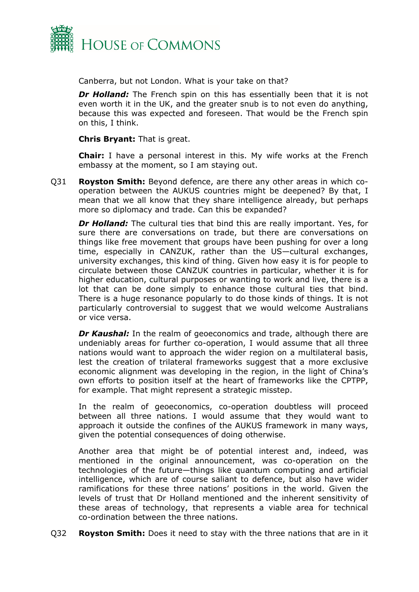

Canberra, but not London. What is your take on that?

**Dr Holland:** The French spin on this has essentially been that it is not even worth it in the UK, and the greater snub is to not even do anything, because this was expected and foreseen. That would be the French spin on this, I think.

**Chris Bryant:** That is great.

**Chair:** I have a personal interest in this. My wife works at the French embassy at the moment, so I am staying out.

Q31 **Royston Smith:** Beyond defence, are there any other areas in which cooperation between the AUKUS countries might be deepened? By that, I mean that we all know that they share intelligence already, but perhaps more so diplomacy and trade. Can this be expanded?

**Dr Holland:** The cultural ties that bind this are really important. Yes, for sure there are conversations on trade, but there are conversations on things like free movement that groups have been pushing for over a long time, especially in CANZUK, rather than the US—cultural exchanges, university exchanges, this kind of thing. Given how easy it is for people to circulate between those CANZUK countries in particular, whether it is for higher education, cultural purposes or wanting to work and live, there is a lot that can be done simply to enhance those cultural ties that bind. There is a huge resonance popularly to do those kinds of things. It is not particularly controversial to suggest that we would welcome Australians or vice versa.

*Dr Kaushal:* In the realm of geoeconomics and trade, although there are undeniably areas for further co-operation, I would assume that all three nations would want to approach the wider region on a multilateral basis, lest the creation of trilateral frameworks suggest that a more exclusive economic alignment was developing in the region, in the light of China's own efforts to position itself at the heart of frameworks like the CPTPP, for example. That might represent a strategic misstep.

In the realm of geoeconomics, co-operation doubtless will proceed between all three nations. I would assume that they would want to approach it outside the confines of the AUKUS framework in many ways, given the potential consequences of doing otherwise.

Another area that might be of potential interest and, indeed, was mentioned in the original announcement, was co-operation on the technologies of the future—things like quantum computing and artificial intelligence, which are of course saliant to defence, but also have wider ramifications for these three nations' positions in the world. Given the levels of trust that Dr Holland mentioned and the inherent sensitivity of these areas of technology, that represents a viable area for technical co-ordination between the three nations.

Q32 **Royston Smith:** Does it need to stay with the three nations that are in it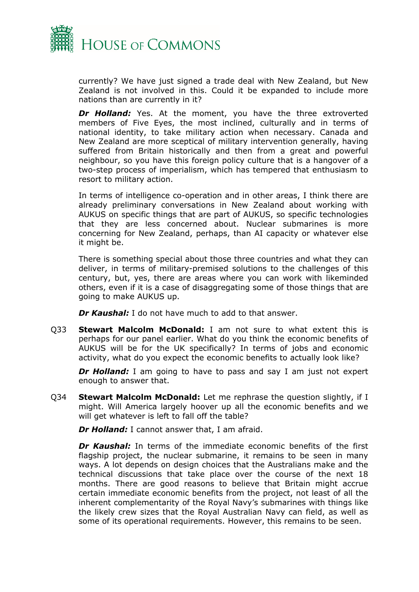

currently? We have just signed a trade deal with New Zealand, but New Zealand is not involved in this. Could it be expanded to include more nations than are currently in it?

*Dr Holland:* Yes. At the moment, you have the three extroverted members of Five Eyes, the most inclined, culturally and in terms of national identity, to take military action when necessary. Canada and New Zealand are more sceptical of military intervention generally, having suffered from Britain historically and then from a great and powerful neighbour, so you have this foreign policy culture that is a hangover of a two-step process of imperialism, which has tempered that enthusiasm to resort to military action.

In terms of intelligence co-operation and in other areas, I think there are already preliminary conversations in New Zealand about working with AUKUS on specific things that are part of AUKUS, so specific technologies that they are less concerned about. Nuclear submarines is more concerning for New Zealand, perhaps, than AI capacity or whatever else it might be.

There is something special about those three countries and what they can deliver, in terms of military-premised solutions to the challenges of this century, but, yes, there are areas where you can work with likeminded others, even if it is a case of disaggregating some of those things that are going to make AUKUS up.

*Dr Kaushal:* I do not have much to add to that answer.

Q33 **Stewart Malcolm McDonald:** I am not sure to what extent this is perhaps for our panel earlier. What do you think the economic benefits of AUKUS will be for the UK specifically? In terms of jobs and economic activity, what do you expect the economic benefits to actually look like?

**Dr Holland:** I am going to have to pass and say I am just not expert enough to answer that.

Q34 **Stewart Malcolm McDonald:** Let me rephrase the question slightly, if I might. Will America largely hoover up all the economic benefits and we will get whatever is left to fall off the table?

*Dr Holland:* I cannot answer that, I am afraid.

*Dr Kaushal:* In terms of the immediate economic benefits of the first flagship project, the nuclear submarine, it remains to be seen in many ways. A lot depends on design choices that the Australians make and the technical discussions that take place over the course of the next 18 months. There are good reasons to believe that Britain might accrue certain immediate economic benefits from the project, not least of all the inherent complementarity of the Royal Navy's submarines with things like the likely crew sizes that the Royal Australian Navy can field, as well as some of its operational requirements. However, this remains to be seen.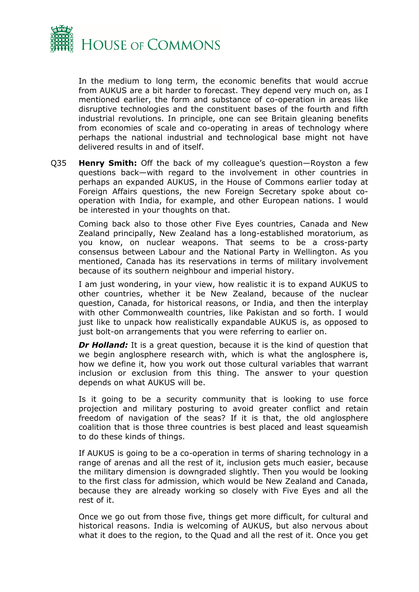

In the medium to long term, the economic benefits that would accrue from AUKUS are a bit harder to forecast. They depend very much on, as I mentioned earlier, the form and substance of co-operation in areas like disruptive technologies and the constituent bases of the fourth and fifth industrial revolutions. In principle, one can see Britain gleaning benefits from economies of scale and co-operating in areas of technology where perhaps the national industrial and technological base might not have delivered results in and of itself.

Q35 **Henry Smith:** Off the back of my colleague's question—Royston a few questions back—with regard to the involvement in other countries in perhaps an expanded AUKUS, in the House of Commons earlier today at Foreign Affairs questions, the new Foreign Secretary spoke about cooperation with India, for example, and other European nations. I would be interested in your thoughts on that.

Coming back also to those other Five Eyes countries, Canada and New Zealand principally, New Zealand has a long-established moratorium, as you know, on nuclear weapons. That seems to be a cross-party consensus between Labour and the National Party in Wellington. As you mentioned, Canada has its reservations in terms of military involvement because of its southern neighbour and imperial history.

I am just wondering, in your view, how realistic it is to expand AUKUS to other countries, whether it be New Zealand, because of the nuclear question, Canada, for historical reasons, or India, and then the interplay with other Commonwealth countries, like Pakistan and so forth. I would just like to unpack how realistically expandable AUKUS is, as opposed to just bolt-on arrangements that you were referring to earlier on.

*Dr Holland:* It is a great question, because it is the kind of question that we begin anglosphere research with, which is what the anglosphere is, how we define it, how you work out those cultural variables that warrant inclusion or exclusion from this thing. The answer to your question depends on what AUKUS will be.

Is it going to be a security community that is looking to use force projection and military posturing to avoid greater conflict and retain freedom of navigation of the seas? If it is that, the old anglosphere coalition that is those three countries is best placed and least squeamish to do these kinds of things.

If AUKUS is going to be a co-operation in terms of sharing technology in a range of arenas and all the rest of it, inclusion gets much easier, because the military dimension is downgraded slightly. Then you would be looking to the first class for admission, which would be New Zealand and Canada, because they are already working so closely with Five Eyes and all the rest of it.

Once we go out from those five, things get more difficult, for cultural and historical reasons. India is welcoming of AUKUS, but also nervous about what it does to the region, to the Quad and all the rest of it. Once you get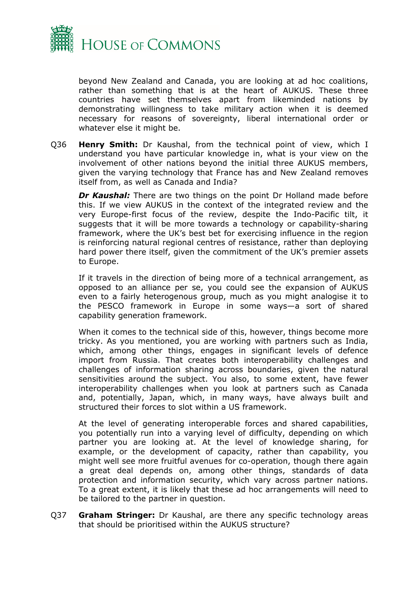

beyond New Zealand and Canada, you are looking at ad hoc coalitions, rather than something that is at the heart of AUKUS. These three countries have set themselves apart from likeminded nations by demonstrating willingness to take military action when it is deemed necessary for reasons of sovereignty, liberal international order or whatever else it might be.

Q36 **Henry Smith:** Dr Kaushal, from the technical point of view, which I understand you have particular knowledge in, what is your view on the involvement of other nations beyond the initial three AUKUS members, given the varying technology that France has and New Zealand removes itself from, as well as Canada and India?

**Dr Kaushal:** There are two things on the point Dr Holland made before this. If we view AUKUS in the context of the integrated review and the very Europe-first focus of the review, despite the Indo-Pacific tilt, it suggests that it will be more towards a technology or capability-sharing framework, where the UK's best bet for exercising influence in the region is reinforcing natural regional centres of resistance, rather than deploying hard power there itself, given the commitment of the UK's premier assets to Europe.

If it travels in the direction of being more of a technical arrangement, as opposed to an alliance per se, you could see the expansion of AUKUS even to a fairly heterogenous group, much as you might analogise it to the PESCO framework in Europe in some ways—a sort of shared capability generation framework.

When it comes to the technical side of this, however, things become more tricky. As you mentioned, you are working with partners such as India, which, among other things, engages in significant levels of defence import from Russia. That creates both interoperability challenges and challenges of information sharing across boundaries, given the natural sensitivities around the subject. You also, to some extent, have fewer interoperability challenges when you look at partners such as Canada and, potentially, Japan, which, in many ways, have always built and structured their forces to slot within a US framework.

At the level of generating interoperable forces and shared capabilities, you potentially run into a varying level of difficulty, depending on which partner you are looking at. At the level of knowledge sharing, for example, or the development of capacity, rather than capability, you might well see more fruitful avenues for co-operation, though there again a great deal depends on, among other things, standards of data protection and information security, which vary across partner nations. To a great extent, it is likely that these ad hoc arrangements will need to be tailored to the partner in question.

Q37 **Graham Stringer:** Dr Kaushal, are there any specific technology areas that should be prioritised within the AUKUS structure?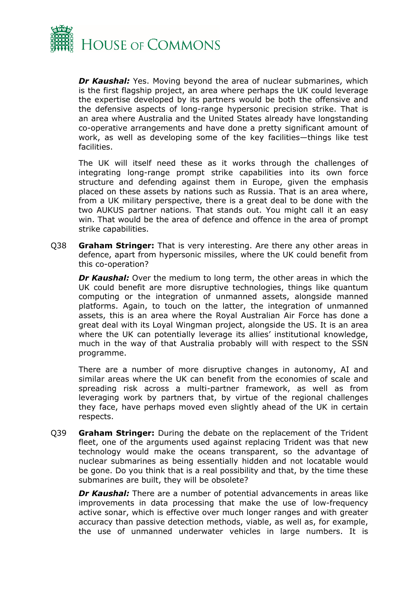

**Dr Kaushal:** Yes. Moving beyond the area of nuclear submarines, which is the first flagship project, an area where perhaps the UK could leverage the expertise developed by its partners would be both the offensive and the defensive aspects of long-range hypersonic precision strike. That is an area where Australia and the United States already have longstanding co-operative arrangements and have done a pretty significant amount of work, as well as developing some of the key facilities—things like test facilities.

The UK will itself need these as it works through the challenges of integrating long-range prompt strike capabilities into its own force structure and defending against them in Europe, given the emphasis placed on these assets by nations such as Russia. That is an area where, from a UK military perspective, there is a great deal to be done with the two AUKUS partner nations. That stands out. You might call it an easy win. That would be the area of defence and offence in the area of prompt strike capabilities.

Q38 **Graham Stringer:** That is very interesting. Are there any other areas in defence, apart from hypersonic missiles, where the UK could benefit from this co-operation?

*Dr Kaushal:* Over the medium to long term, the other areas in which the UK could benefit are more disruptive technologies, things like quantum computing or the integration of unmanned assets, alongside manned platforms. Again, to touch on the latter, the integration of unmanned assets, this is an area where the Royal Australian Air Force has done a great deal with its Loyal Wingman project, alongside the US. It is an area where the UK can potentially leverage its allies' institutional knowledge, much in the way of that Australia probably will with respect to the SSN programme.

There are a number of more disruptive changes in autonomy, AI and similar areas where the UK can benefit from the economies of scale and spreading risk across a multi-partner framework, as well as from leveraging work by partners that, by virtue of the regional challenges they face, have perhaps moved even slightly ahead of the UK in certain respects.

Q39 **Graham Stringer:** During the debate on the replacement of the Trident fleet, one of the arguments used against replacing Trident was that new technology would make the oceans transparent, so the advantage of nuclear submarines as being essentially hidden and not locatable would be gone. Do you think that is a real possibility and that, by the time these submarines are built, they will be obsolete?

*Dr Kaushal:* There are a number of potential advancements in areas like improvements in data processing that make the use of low-frequency active sonar, which is effective over much longer ranges and with greater accuracy than passive detection methods, viable, as well as, for example, the use of unmanned underwater vehicles in large numbers. It is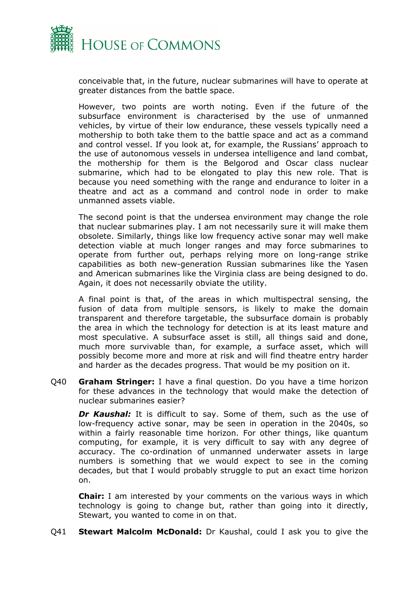

conceivable that, in the future, nuclear submarines will have to operate at greater distances from the battle space.

However, two points are worth noting. Even if the future of the subsurface environment is characterised by the use of unmanned vehicles, by virtue of their low endurance, these vessels typically need a mothership to both take them to the battle space and act as a command and control vessel. If you look at, for example, the Russians' approach to the use of autonomous vessels in undersea intelligence and land combat, the mothership for them is the Belgorod and Oscar class nuclear submarine, which had to be elongated to play this new role. That is because you need something with the range and endurance to loiter in a theatre and act as a command and control node in order to make unmanned assets viable.

The second point is that the undersea environment may change the role that nuclear submarines play. I am not necessarily sure it will make them obsolete. Similarly, things like low frequency active sonar may well make detection viable at much longer ranges and may force submarines to operate from further out, perhaps relying more on long-range strike capabilities as both new-generation Russian submarines like the Yasen and American submarines like the Virginia class are being designed to do. Again, it does not necessarily obviate the utility.

A final point is that, of the areas in which multispectral sensing, the fusion of data from multiple sensors, is likely to make the domain transparent and therefore targetable, the subsurface domain is probably the area in which the technology for detection is at its least mature and most speculative. A subsurface asset is still, all things said and done, much more survivable than, for example, a surface asset, which will possibly become more and more at risk and will find theatre entry harder and harder as the decades progress. That would be my position on it.

Q40 **Graham Stringer:** I have a final question. Do you have a time horizon for these advances in the technology that would make the detection of nuclear submarines easier?

*Dr Kaushal:* It is difficult to say. Some of them, such as the use of low-frequency active sonar, may be seen in operation in the 2040s, so within a fairly reasonable time horizon. For other things, like quantum computing, for example, it is very difficult to say with any degree of accuracy. The co-ordination of unmanned underwater assets in large numbers is something that we would expect to see in the coming decades, but that I would probably struggle to put an exact time horizon on.

**Chair:** I am interested by your comments on the various ways in which technology is going to change but, rather than going into it directly, Stewart, you wanted to come in on that.

Q41 **Stewart Malcolm McDonald:** Dr Kaushal, could I ask you to give the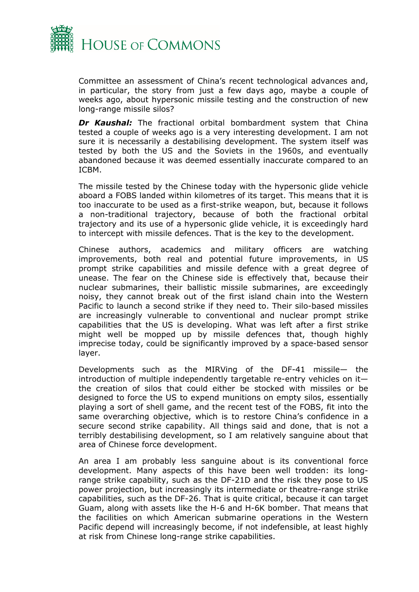

Committee an assessment of China's recent technological advances and, in particular, the story from just a few days ago, maybe a couple of weeks ago, about hypersonic missile testing and the construction of new long-range missile silos?

*Dr Kaushal:* The fractional orbital bombardment system that China tested a couple of weeks ago is a very interesting development. I am not sure it is necessarily a destabilising development. The system itself was tested by both the US and the Soviets in the 1960s, and eventually abandoned because it was deemed essentially inaccurate compared to an ICBM.

The missile tested by the Chinese today with the hypersonic glide vehicle aboard a FOBS landed within kilometres of its target. This means that it is too inaccurate to be used as a first-strike weapon, but, because it follows a non-traditional trajectory, because of both the fractional orbital trajectory and its use of a hypersonic glide vehicle, it is exceedingly hard to intercept with missile defences. That is the key to the development.

Chinese authors, academics and military officers are watching improvements, both real and potential future improvements, in US prompt strike capabilities and missile defence with a great degree of unease. The fear on the Chinese side is effectively that, because their nuclear submarines, their ballistic missile submarines, are exceedingly noisy, they cannot break out of the first island chain into the Western Pacific to launch a second strike if they need to. Their silo-based missiles are increasingly vulnerable to conventional and nuclear prompt strike capabilities that the US is developing. What was left after a first strike might well be mopped up by missile defences that, though highly imprecise today, could be significantly improved by a space-based sensor layer.

Developments such as the MIRVing of the DF-41 missile— the introduction of multiple independently targetable re-entry vehicles on it the creation of silos that could either be stocked with missiles or be designed to force the US to expend munitions on empty silos, essentially playing a sort of shell game, and the recent test of the FOBS, fit into the same overarching objective, which is to restore China's confidence in a secure second strike capability. All things said and done, that is not a terribly destabilising development, so I am relatively sanguine about that area of Chinese force development.

An area I am probably less sanguine about is its conventional force development. Many aspects of this have been well trodden: its longrange strike capability, such as the DF-21D and the risk they pose to US power projection, but increasingly its intermediate or theatre-range strike capabilities, such as the DF-26. That is quite critical, because it can target Guam, along with assets like the H-6 and H-6K bomber. That means that the facilities on which American submarine operations in the Western Pacific depend will increasingly become, if not indefensible, at least highly at risk from Chinese long-range strike capabilities.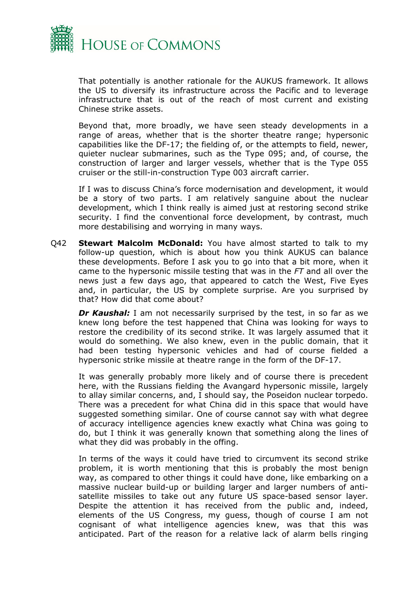

That potentially is another rationale for the AUKUS framework. It allows the US to diversify its infrastructure across the Pacific and to leverage infrastructure that is out of the reach of most current and existing Chinese strike assets.

Beyond that, more broadly, we have seen steady developments in a range of areas, whether that is the shorter theatre range; hypersonic capabilities like the DF-17; the fielding of, or the attempts to field, newer, quieter nuclear submarines, such as the Type 095; and, of course, the construction of larger and larger vessels, whether that is the Type 055 cruiser or the still-in-construction Type 003 aircraft carrier.

If I was to discuss China's force modernisation and development, it would be a story of two parts. I am relatively sanguine about the nuclear development, which I think really is aimed just at restoring second strike security. I find the conventional force development, by contrast, much more destabilising and worrying in many ways.

Q42 **Stewart Malcolm McDonald:** You have almost started to talk to my follow-up question, which is about how you think AUKUS can balance these developments. Before I ask you to go into that a bit more, when it came to the hypersonic missile testing that was in the *FT* and all over the news just a few days ago, that appeared to catch the West, Five Eyes and, in particular, the US by complete surprise. Are you surprised by that? How did that come about?

*Dr Kaushal:* I am not necessarily surprised by the test, in so far as we knew long before the test happened that China was looking for ways to restore the credibility of its second strike. It was largely assumed that it would do something. We also knew, even in the public domain, that it had been testing hypersonic vehicles and had of course fielded a hypersonic strike missile at theatre range in the form of the DF-17.

It was generally probably more likely and of course there is precedent here, with the Russians fielding the Avangard hypersonic missile, largely to allay similar concerns, and, I should say, the Poseidon nuclear torpedo. There was a precedent for what China did in this space that would have suggested something similar. One of course cannot say with what degree of accuracy intelligence agencies knew exactly what China was going to do, but I think it was generally known that something along the lines of what they did was probably in the offing.

In terms of the ways it could have tried to circumvent its second strike problem, it is worth mentioning that this is probably the most benign way, as compared to other things it could have done, like embarking on a massive nuclear build-up or building larger and larger numbers of antisatellite missiles to take out any future US space-based sensor layer. Despite the attention it has received from the public and, indeed, elements of the US Congress, my guess, though of course I am not cognisant of what intelligence agencies knew, was that this was anticipated. Part of the reason for a relative lack of alarm bells ringing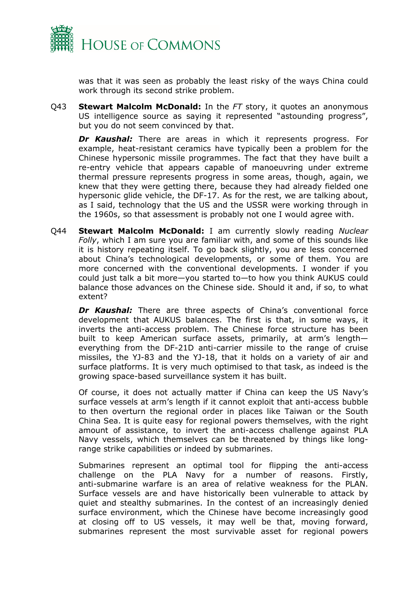

was that it was seen as probably the least risky of the ways China could work through its second strike problem.

Q43 **Stewart Malcolm McDonald:** In the *FT* story, it quotes an anonymous US intelligence source as saying it represented "astounding progress", but you do not seem convinced by that.

*Dr Kaushal:* There are areas in which it represents progress. For example, heat-resistant ceramics have typically been a problem for the Chinese hypersonic missile programmes. The fact that they have built a re-entry vehicle that appears capable of manoeuvring under extreme thermal pressure represents progress in some areas, though, again, we knew that they were getting there, because they had already fielded one hypersonic glide vehicle, the DF-17. As for the rest, we are talking about, as I said, technology that the US and the USSR were working through in the 1960s, so that assessment is probably not one I would agree with.

Q44 **Stewart Malcolm McDonald:** I am currently slowly reading *Nuclear Folly*, which I am sure you are familiar with, and some of this sounds like it is history repeating itself. To go back slightly, you are less concerned about China's technological developments, or some of them. You are more concerned with the conventional developments. I wonder if you could just talk a bit more—you started to—to how you think AUKUS could balance those advances on the Chinese side. Should it and, if so, to what extent?

**Dr Kaushal:** There are three aspects of China's conventional force development that AUKUS balances. The first is that, in some ways, it inverts the anti-access problem. The Chinese force structure has been built to keep American surface assets, primarily, at arm's length everything from the DF-21D anti-carrier missile to the range of cruise missiles, the YJ-83 and the YJ-18, that it holds on a variety of air and surface platforms. It is very much optimised to that task, as indeed is the growing space-based surveillance system it has built.

Of course, it does not actually matter if China can keep the US Navy's surface vessels at arm's length if it cannot exploit that anti-access bubble to then overturn the regional order in places like Taiwan or the South China Sea. It is quite easy for regional powers themselves, with the right amount of assistance, to invert the anti-access challenge against PLA Navy vessels, which themselves can be threatened by things like longrange strike capabilities or indeed by submarines.

Submarines represent an optimal tool for flipping the anti-access challenge on the PLA Navy for a number of reasons. Firstly, anti-submarine warfare is an area of relative weakness for the PLAN. Surface vessels are and have historically been vulnerable to attack by quiet and stealthy submarines. In the contest of an increasingly denied surface environment, which the Chinese have become increasingly good at closing off to US vessels, it may well be that, moving forward, submarines represent the most survivable asset for regional powers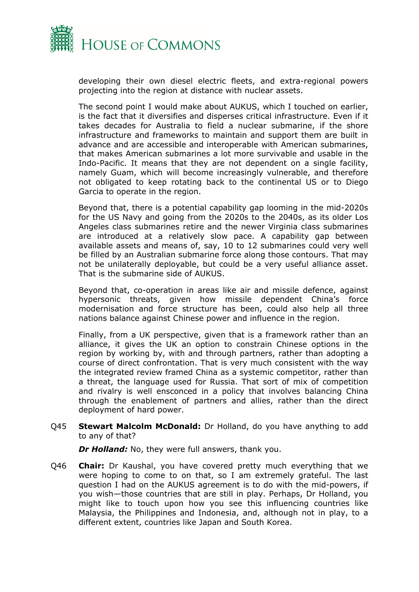

developing their own diesel electric fleets, and extra-regional powers projecting into the region at distance with nuclear assets.

The second point I would make about AUKUS, which I touched on earlier, is the fact that it diversifies and disperses critical infrastructure. Even if it takes decades for Australia to field a nuclear submarine, if the shore infrastructure and frameworks to maintain and support them are built in advance and are accessible and interoperable with American submarines, that makes American submarines a lot more survivable and usable in the Indo-Pacific. It means that they are not dependent on a single facility, namely Guam, which will become increasingly vulnerable, and therefore not obligated to keep rotating back to the continental US or to Diego Garcia to operate in the region.

Beyond that, there is a potential capability gap looming in the mid-2020s for the US Navy and going from the 2020s to the 2040s, as its older Los Angeles class submarines retire and the newer Virginia class submarines are introduced at a relatively slow pace. A capability gap between available assets and means of, say, 10 to 12 submarines could very well be filled by an Australian submarine force along those contours. That may not be unilaterally deployable, but could be a very useful alliance asset. That is the submarine side of AUKUS.

Beyond that, co-operation in areas like air and missile defence, against hypersonic threats, given how missile dependent China's force modernisation and force structure has been, could also help all three nations balance against Chinese power and influence in the region.

Finally, from a UK perspective, given that is a framework rather than an alliance, it gives the UK an option to constrain Chinese options in the region by working by, with and through partners, rather than adopting a course of direct confrontation. That is very much consistent with the way the integrated review framed China as a systemic competitor, rather than a threat, the language used for Russia. That sort of mix of competition and rivalry is well ensconced in a policy that involves balancing China through the enablement of partners and allies, rather than the direct deployment of hard power.

Q45 **Stewart Malcolm McDonald:** Dr Holland, do you have anything to add to any of that?

*Dr Holland:* No, they were full answers, thank you.

Q46 **Chair:** Dr Kaushal, you have covered pretty much everything that we were hoping to come to on that, so I am extremely grateful. The last question I had on the AUKUS agreement is to do with the mid-powers, if you wish—those countries that are still in play. Perhaps, Dr Holland, you might like to touch upon how you see this influencing countries like Malaysia, the Philippines and Indonesia, and, although not in play, to a different extent, countries like Japan and South Korea.